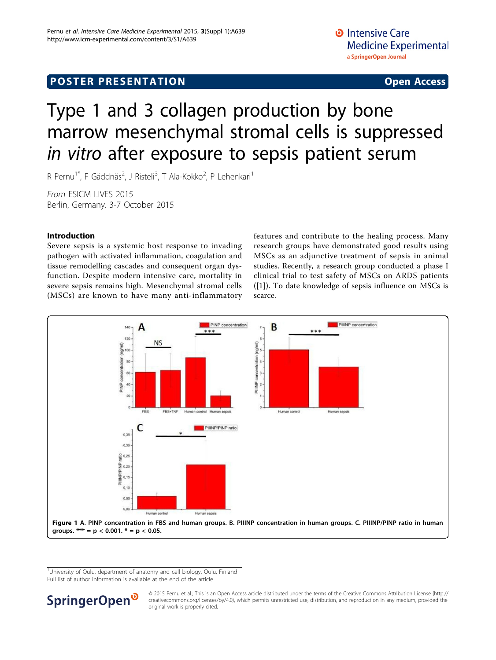# <span id="page-0-0"></span>Type 1 and 3 collagen production by bone marrow mesenchymal stromal cells is suppressed in vitro after exposure to sepsis patient serum

R Pernu<sup>1\*</sup>, F Gäddnäs<sup>2</sup>, J Risteli<sup>3</sup>, T Ala-Kokko<sup>2</sup>, P Lehenkari<sup>1</sup>

From ESICM LIVES 2015 Berlin, Germany. 3-7 October 2015

# Introduction

Severe sepsis is a systemic host response to invading pathogen with activated inflammation, coagulation and tissue remodelling cascades and consequent organ dysfunction. Despite modern intensive care, mortality in severe sepsis remains high. Mesenchymal stromal cells (MSCs) are known to have many anti-inflammatory features and contribute to the healing process. Many research groups have demonstrated good results using MSCs as an adjunctive treatment of sepsis in animal studies. Recently, a research group conducted a phase I clinical trial to test safety of MSCs on ARDS patients ([\[1](#page-1-0)]). To date knowledge of sepsis influence on MSCs is scarce.



<sup>1</sup>University of Oulu, department of anatomy and cell biology, Oulu, Finland Full list of author information is available at the end of the article



© 2015 Pernu et al.; This is an Open Access article distributed under the terms of the Creative Commons Attribution License [\(http://](http://creativecommons.org/licenses/by/4.0) [creativecommons.org/licenses/by/4.0](http://creativecommons.org/licenses/by/4.0)), which permits unrestricted use, distribution, and reproduction in any medium, provided the original work is properly cited.